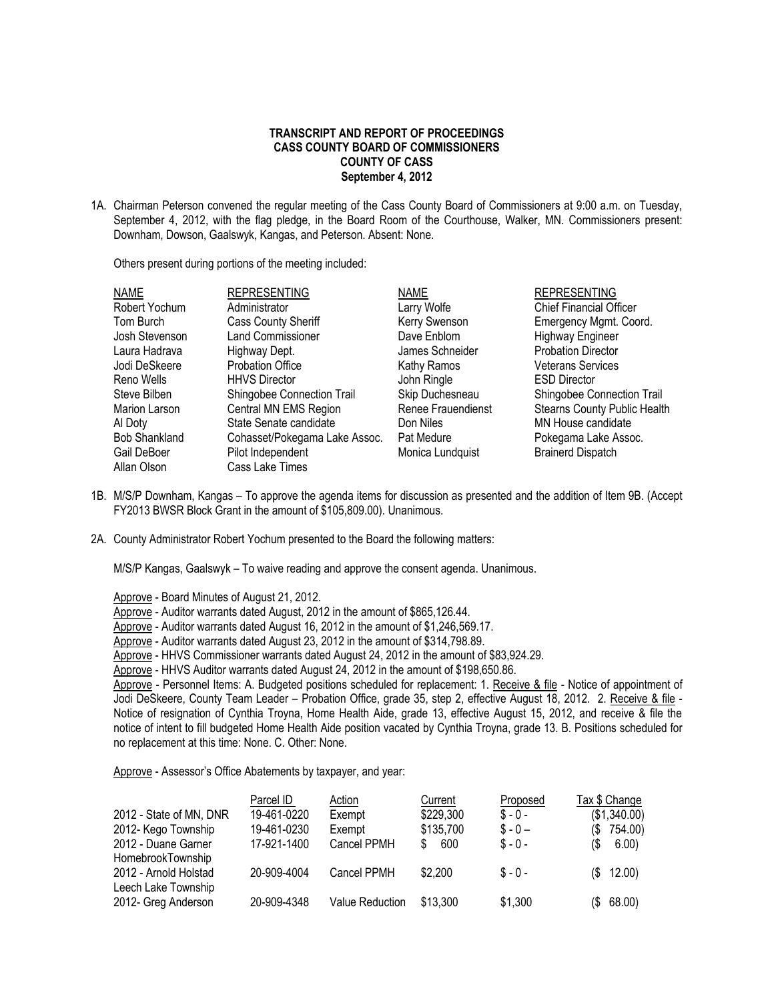#### **TRANSCRIPT AND REPORT OF PROCEEDINGS CASS COUNTY BOARD OF COMMISSIONERS COUNTY OF CASS September 4, 2012**

1A. Chairman Peterson convened the regular meeting of the Cass County Board of Commissioners at 9:00 a.m. on Tuesday, September 4, 2012, with the flag pledge, in the Board Room of the Courthouse, Walker, MN. Commissioners present: Downham, Dowson, Gaalswyk, Kangas, and Peterson. Absent: None.

Others present during portions of the meeting included:

| <b>NAME</b>          | <b>REPRESENTING</b>           | <b>NAME</b>               | <b>REPRESENTING</b>                 |
|----------------------|-------------------------------|---------------------------|-------------------------------------|
| Robert Yochum        | Administrator                 | Larry Wolfe               | <b>Chief Financial Officer</b>      |
| Tom Burch            | <b>Cass County Sheriff</b>    | Kerry Swenson             | Emergency Mgmt. Coord.              |
| Josh Stevenson       | <b>Land Commissioner</b>      | Dave Enblom               | <b>Highway Engineer</b>             |
| Laura Hadrava        | Highway Dept.                 | James Schneider           | <b>Probation Director</b>           |
| Jodi DeSkeere        | <b>Probation Office</b>       | Kathy Ramos               | <b>Veterans Services</b>            |
| Reno Wells           | <b>HHVS Director</b>          | John Ringle               | <b>ESD Director</b>                 |
| Steve Bilben         | Shingobee Connection Trail    | Skip Duchesneau           | Shingobee Connection Trail          |
| Marion Larson        | Central MN EMS Region         | <b>Renee Frauendienst</b> | <b>Stearns County Public Health</b> |
| Al Doty              | State Senate candidate        | Don Niles                 | MN House candidate                  |
| <b>Bob Shankland</b> | Cohasset/Pokegama Lake Assoc. | Pat Medure                | Pokegama Lake Assoc.                |
| Gail DeBoer          | Pilot Independent             | Monica Lundquist          | <b>Brainerd Dispatch</b>            |
| Allan Olson          | Cass Lake Times               |                           |                                     |

- 1B. M/S/P Downham, Kangas To approve the agenda items for discussion as presented and the addition of Item 9B. (Accept FY2013 BWSR Block Grant in the amount of \$105,809.00). Unanimous.
- 2A. County Administrator Robert Yochum presented to the Board the following matters:

M/S/P Kangas, Gaalswyk – To waive reading and approve the consent agenda. Unanimous.

Approve - Board Minutes of August 21, 2012.

Approve - Auditor warrants dated August, 2012 in the amount of \$865,126.44.

Approve - Auditor warrants dated August 16, 2012 in the amount of \$1,246,569.17.

Approve - Auditor warrants dated August 23, 2012 in the amount of \$314,798.89.

Approve - HHVS Commissioner warrants dated August 24, 2012 in the amount of \$83,924.29.

Approve - HHVS Auditor warrants dated August 24, 2012 in the amount of \$198,650.86.

Approve - Personnel Items: A. Budgeted positions scheduled for replacement: 1. Receive & file - Notice of appointment of Jodi DeSkeere, County Team Leader – Probation Office, grade 35, step 2, effective August 18, 2012. 2. Receive & file - Notice of resignation of Cynthia Troyna, Home Health Aide, grade 13, effective August 15, 2012, and receive & file the notice of intent to fill budgeted Home Health Aide position vacated by Cynthia Troyna, grade 13. B. Positions scheduled for no replacement at this time: None. C. Other: None.

Approve - Assessor's Office Abatements by taxpayer, and year:

|                         | Parcel ID   | Action          | Current   | Proposed  | Tax \$ Change |               |
|-------------------------|-------------|-----------------|-----------|-----------|---------------|---------------|
| 2012 - State of MN, DNR | 19-461-0220 | Exempt          | \$229,300 | $S - 0 -$ |               | (\$1,340.00)  |
| 2012- Kego Township     | 19-461-0230 | Exempt          | \$135,700 | $S - 0 -$ |               | $(\$$ 754.00) |
| 2012 - Duane Garner     | 17-921-1400 | Cancel PPMH     | 600<br>S. | $S - 0 -$ | 15            | 6.00)         |
| HomebrookTownship       |             |                 |           |           |               |               |
| 2012 - Arnold Holstad   | 20-909-4004 | Cancel PPMH     | \$2,200   | $S - 0 -$ |               | (\$12.00)     |
| Leech Lake Township     |             |                 |           |           |               |               |
| 2012- Greg Anderson     | 20-909-4348 | Value Reduction | \$13.300  | \$1,300   |               | (\$68.00)     |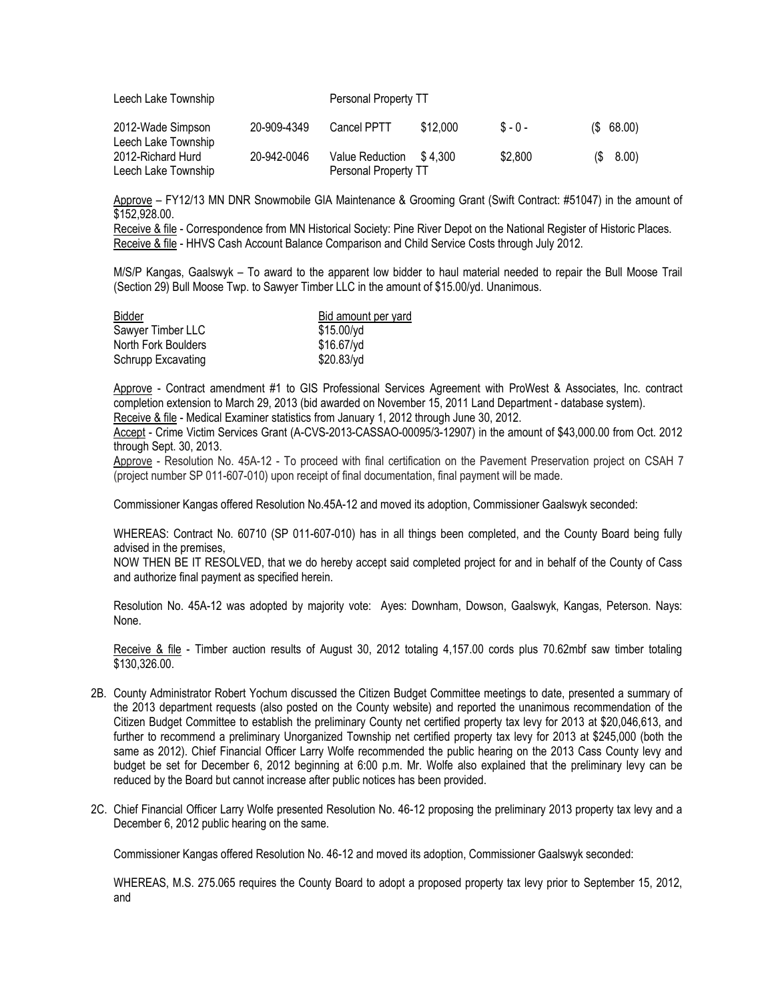| Leech Lake Township                      |             | Personal Property TT                    |          |           |           |
|------------------------------------------|-------------|-----------------------------------------|----------|-----------|-----------|
| 2012-Wade Simpson<br>Leech Lake Township | 20-909-4349 | <b>Cancel PPTT</b>                      | \$12.000 | $S - 0 -$ | (S 68.00) |
| 2012-Richard Hurd<br>Leech Lake Township | 20-942-0046 | Value Reduction<br>Personal Property TT | \$4.300  | \$2.800   | (S 8.00)  |

Approve – FY12/13 MN DNR Snowmobile GIA Maintenance & Grooming Grant (Swift Contract: #51047) in the amount of \$152,928.00.

Receive & file - Correspondence from MN Historical Society: Pine River Depot on the National Register of Historic Places. Receive & file - HHVS Cash Account Balance Comparison and Child Service Costs through July 2012.

M/S/P Kangas, Gaalswyk – To award to the apparent low bidder to haul material needed to repair the Bull Moose Trail (Section 29) Bull Moose Twp. to Sawyer Timber LLC in the amount of \$15.00/yd. Unanimous.

| <b>Bidder</b>       | Bid amount per yard |  |  |
|---------------------|---------------------|--|--|
| Sawyer Timber LLC   | $$15.00/\gamma d$   |  |  |
| North Fork Boulders | $$16.67/\nu d$      |  |  |
| Schrupp Excavating  | \$20.83/yd          |  |  |

Approve - Contract amendment #1 to GIS Professional Services Agreement with ProWest & Associates, Inc. contract completion extension to March 29, 2013 (bid awarded on November 15, 2011 Land Department - database system).

Receive & file - Medical Examiner statistics from January 1, 2012 through June 30, 2012.

Accept - Crime Victim Services Grant (A-CVS-2013-CASSAO-00095/3-12907) in the amount of \$43,000.00 from Oct. 2012 through Sept. 30, 2013.

Approve - Resolution No. 45A-12 - To proceed with final certification on the Pavement Preservation project on CSAH 7 (project number SP 011-607-010) upon receipt of final documentation, final payment will be made.

Commissioner Kangas offered Resolution No.45A-12 and moved its adoption, Commissioner Gaalswyk seconded:

WHEREAS: Contract No. 60710 (SP 011-607-010) has in all things been completed, and the County Board being fully advised in the premises,

NOW THEN BE IT RESOLVED, that we do hereby accept said completed project for and in behalf of the County of Cass and authorize final payment as specified herein.

Resolution No. 45A-12 was adopted by majority vote: Ayes: Downham, Dowson, Gaalswyk, Kangas, Peterson. Nays: None.

Receive & file - Timber auction results of August 30, 2012 totaling 4,157.00 cords plus 70.62mbf saw timber totaling \$130,326.00.

- 2B. County Administrator Robert Yochum discussed the Citizen Budget Committee meetings to date, presented a summary of the 2013 department requests (also posted on the County website) and reported the unanimous recommendation of the Citizen Budget Committee to establish the preliminary County net certified property tax levy for 2013 at \$20,046,613, and further to recommend a preliminary Unorganized Township net certified property tax levy for 2013 at \$245,000 (both the same as 2012). Chief Financial Officer Larry Wolfe recommended the public hearing on the 2013 Cass County levy and budget be set for December 6, 2012 beginning at 6:00 p.m. Mr. Wolfe also explained that the preliminary levy can be reduced by the Board but cannot increase after public notices has been provided.
- 2C. Chief Financial Officer Larry Wolfe presented Resolution No. 46-12 proposing the preliminary 2013 property tax levy and a December 6, 2012 public hearing on the same.

Commissioner Kangas offered Resolution No. 46-12 and moved its adoption, Commissioner Gaalswyk seconded:

WHEREAS, M.S. 275.065 requires the County Board to adopt a proposed property tax levy prior to September 15, 2012, and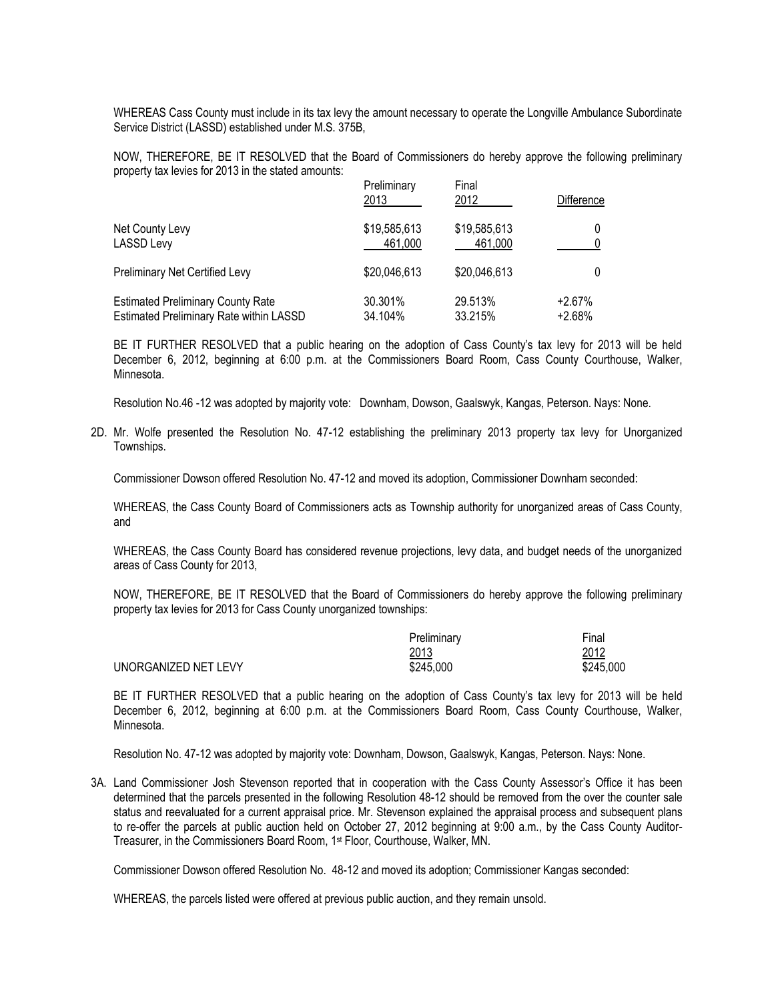WHEREAS Cass County must include in its tax levy the amount necessary to operate the Longville Ambulance Subordinate Service District (LASSD) established under M.S. 375B,

NOW, THEREFORE, BE IT RESOLVED that the Board of Commissioners do hereby approve the following preliminary property tax levies for 2013 in the stated amounts:

|                                          | Preliminary<br>2013 | Final<br>2012 | <b>Difference</b> |
|------------------------------------------|---------------------|---------------|-------------------|
| Net County Levy                          | \$19,585,613        | \$19,585,613  |                   |
| <b>LASSD Levy</b>                        | 461.000             | 461.000       |                   |
| Preliminary Net Certified Levy           | \$20,046,613        | \$20,046,613  |                   |
| <b>Estimated Preliminary County Rate</b> | 30.301%             | 29.513%       | $+2.67%$          |
| Estimated Preliminary Rate within LASSD  | 34.104%             | 33.215%       | $+2.68%$          |

BE IT FURTHER RESOLVED that a public hearing on the adoption of Cass County's tax levy for 2013 will be held December 6, 2012, beginning at 6:00 p.m. at the Commissioners Board Room, Cass County Courthouse, Walker, Minnesota.

Resolution No.46 -12 was adopted by majority vote: Downham, Dowson, Gaalswyk, Kangas, Peterson. Nays: None.

2D. Mr. Wolfe presented the Resolution No. 47-12 establishing the preliminary 2013 property tax levy for Unorganized Townships.

Commissioner Dowson offered Resolution No. 47-12 and moved its adoption, Commissioner Downham seconded:

WHEREAS, the Cass County Board of Commissioners acts as Township authority for unorganized areas of Cass County, and

WHEREAS, the Cass County Board has considered revenue projections, levy data, and budget needs of the unorganized areas of Cass County for 2013,

NOW, THEREFORE, BE IT RESOLVED that the Board of Commissioners do hereby approve the following preliminary property tax levies for 2013 for Cass County unorganized townships:

|                      | Preliminary | Final     |
|----------------------|-------------|-----------|
|                      | 2013        | 2012      |
| UNORGANIZED NET LEVY | \$245,000   | \$245,000 |

BE IT FURTHER RESOLVED that a public hearing on the adoption of Cass County's tax levy for 2013 will be held December 6, 2012, beginning at 6:00 p.m. at the Commissioners Board Room, Cass County Courthouse, Walker, Minnesota.

Resolution No. 47-12 was adopted by majority vote: Downham, Dowson, Gaalswyk, Kangas, Peterson. Nays: None.

3A. Land Commissioner Josh Stevenson reported that in cooperation with the Cass County Assessor's Office it has been determined that the parcels presented in the following Resolution 48-12 should be removed from the over the counter sale status and reevaluated for a current appraisal price. Mr. Stevenson explained the appraisal process and subsequent plans to re-offer the parcels at public auction held on October 27, 2012 beginning at 9:00 a.m., by the Cass County Auditor-Treasurer, in the Commissioners Board Room, 1st Floor, Courthouse, Walker, MN.

Commissioner Dowson offered Resolution No. 48-12 and moved its adoption; Commissioner Kangas seconded:

WHEREAS, the parcels listed were offered at previous public auction, and they remain unsold.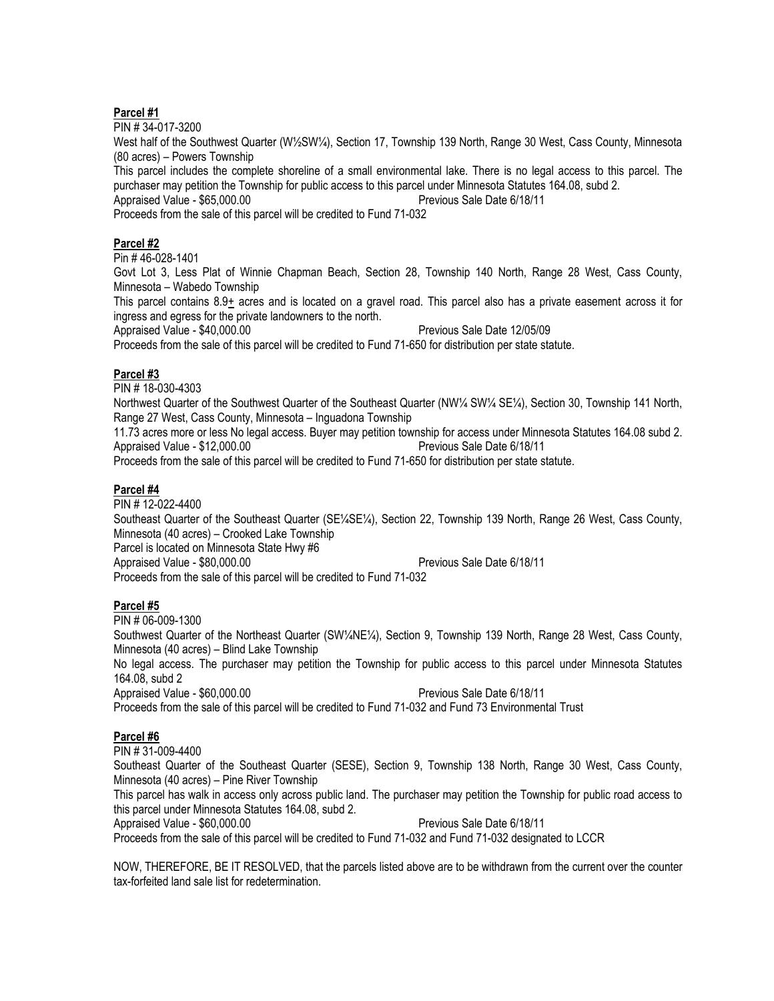#### **Parcel #1**

PIN # 34-017-3200

West half of the Southwest Quarter (W½SW¼), Section 17, Township 139 North, Range 30 West, Cass County, Minnesota (80 acres) – Powers Township

This parcel includes the complete shoreline of a small environmental lake. There is no legal access to this parcel. The purchaser may petition the Township for public access to this parcel under Minnesota Statutes 164.08, subd 2.

Appraised Value - \$65,000.00 Previous Sale Date 6/18/11

Proceeds from the sale of this parcel will be credited to Fund 71-032

# **Parcel #2**

Pin # 46-028-1401

Govt Lot 3, Less Plat of Winnie Chapman Beach, Section 28, Township 140 North, Range 28 West, Cass County, Minnesota – Wabedo Township

This parcel contains 8.9+ acres and is located on a gravel road. This parcel also has a private easement across it for ingress and egress for the private landowners to the north.

Appraised Value - \$40,000.00 **Previous Sale Date 12/05/09** 

Proceeds from the sale of this parcel will be credited to Fund 71-650 for distribution per state statute.

# **Parcel #3**

PIN # 18-030-4303

Northwest Quarter of the Southwest Quarter of the Southeast Quarter (NW¼ SW¼ SE¼), Section 30, Township 141 North, Range 27 West, Cass County, Minnesota – Inguadona Township

11.73 acres more or less No legal access. Buyer may petition township for access under Minnesota Statutes 164.08 subd 2. Appraised Value - \$12,000.00 Previous Sale Date 6/18/11

Proceeds from the sale of this parcel will be credited to Fund 71-650 for distribution per state statute.

# **Parcel #4**

PIN # 12-022-4400 Southeast Quarter of the Southeast Quarter (SE¼SE¼), Section 22, Township 139 North, Range 26 West, Cass County, Minnesota (40 acres) – Crooked Lake Township Parcel is located on Minnesota State Hwy #6 Appraised Value - \$80,000.00 Previous Sale Date 6/18/11 Proceeds from the sale of this parcel will be credited to Fund 71-032

# **Parcel #5**

PIN # 06-009-1300 Southwest Quarter of the Northeast Quarter (SW¼NE¼), Section 9, Township 139 North, Range 28 West, Cass County, Minnesota (40 acres) – Blind Lake Township No legal access. The purchaser may petition the Township for public access to this parcel under Minnesota Statutes 164.08, subd 2 Appraised Value - \$60,000.00 Previous Sale Date 6/18/11 Proceeds from the sale of this parcel will be credited to Fund 71-032 and Fund 73 Environmental Trust

# **Parcel #6**

PIN # 31-009-4400

Southeast Quarter of the Southeast Quarter (SESE), Section 9, Township 138 North, Range 30 West, Cass County, Minnesota (40 acres) – Pine River Township

This parcel has walk in access only across public land. The purchaser may petition the Township for public road access to this parcel under Minnesota Statutes 164.08, subd 2.

Appraised Value - \$60,000.00 Previous Sale Date 6/18/11 Proceeds from the sale of this parcel will be credited to Fund 71-032 and Fund 71-032 designated to LCCR

NOW, THEREFORE, BE IT RESOLVED, that the parcels listed above are to be withdrawn from the current over the counter tax-forfeited land sale list for redetermination.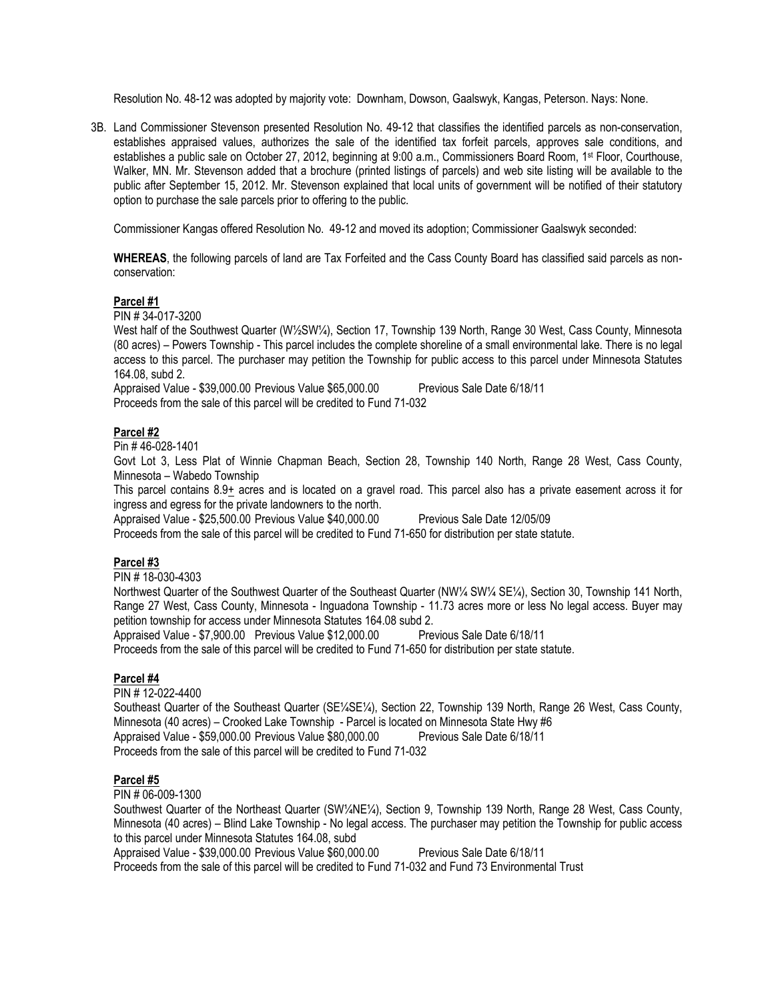Resolution No. 48-12 was adopted by majority vote: Downham, Dowson, Gaalswyk, Kangas, Peterson. Nays: None.

3B. Land Commissioner Stevenson presented Resolution No. 49-12 that classifies the identified parcels as non-conservation, establishes appraised values, authorizes the sale of the identified tax forfeit parcels, approves sale conditions, and establishes a public sale on October 27, 2012, beginning at 9:00 a.m., Commissioners Board Room, 1st Floor, Courthouse, Walker, MN. Mr. Stevenson added that a brochure (printed listings of parcels) and web site listing will be available to the public after September 15, 2012. Mr. Stevenson explained that local units of government will be notified of their statutory option to purchase the sale parcels prior to offering to the public.

Commissioner Kangas offered Resolution No. 49-12 and moved its adoption; Commissioner Gaalswyk seconded:

**WHEREAS**, the following parcels of land are Tax Forfeited and the Cass County Board has classified said parcels as nonconservation:

# **Parcel #1**

PIN # 34-017-3200

West half of the Southwest Quarter (W½SW¼), Section 17, Township 139 North, Range 30 West, Cass County, Minnesota (80 acres) – Powers Township - This parcel includes the complete shoreline of a small environmental lake. There is no legal access to this parcel. The purchaser may petition the Township for public access to this parcel under Minnesota Statutes 164.08, subd 2.

Appraised Value - \$39,000.00 Previous Value \$65,000.00 Previous Sale Date 6/18/11 Proceeds from the sale of this parcel will be credited to Fund 71-032

# **Parcel #2**

Pin # 46-028-1401

Govt Lot 3, Less Plat of Winnie Chapman Beach, Section 28, Township 140 North, Range 28 West, Cass County, Minnesota – Wabedo Township

This parcel contains 8.9+ acres and is located on a gravel road. This parcel also has a private easement across it for ingress and egress for the private landowners to the north.

Appraised Value - \$25,500.00 Previous Value \$40,000.00 Previous Sale Date 12/05/09

Proceeds from the sale of this parcel will be credited to Fund 71-650 for distribution per state statute.

# **Parcel #3**

PIN # 18-030-4303

Northwest Quarter of the Southwest Quarter of the Southeast Quarter (NW¼ SW¼ SE¼), Section 30, Township 141 North, Range 27 West, Cass County, Minnesota - Inguadona Township - 11.73 acres more or less No legal access. Buyer may petition township for access under Minnesota Statutes 164.08 subd 2.

Appraised Value - \$7,900.00 Previous Value \$12,000.00 Previous Sale Date 6/18/11

Proceeds from the sale of this parcel will be credited to Fund 71-650 for distribution per state statute.

# **Parcel #4**

PIN # 12-022-4400 Southeast Quarter of the Southeast Quarter (SE¼SE¼), Section 22, Township 139 North, Range 26 West, Cass County, Minnesota (40 acres) – Crooked Lake Township - Parcel is located on Minnesota State Hwy #6 Appraised Value - \$59,000.00 Previous Value \$80,000.00 Previous Sale Date 6/18/11 Proceeds from the sale of this parcel will be credited to Fund 71-032

# **Parcel #5**

PIN # 06-009-1300

Southwest Quarter of the Northeast Quarter (SW¼NE¼), Section 9, Township 139 North, Range 28 West, Cass County, Minnesota (40 acres) – Blind Lake Township - No legal access. The purchaser may petition the Township for public access to this parcel under Minnesota Statutes 164.08, subd

Appraised Value - \$39,000.00 Previous Value \$60,000.00 Previous Sale Date 6/18/11

Proceeds from the sale of this parcel will be credited to Fund 71-032 and Fund 73 Environmental Trust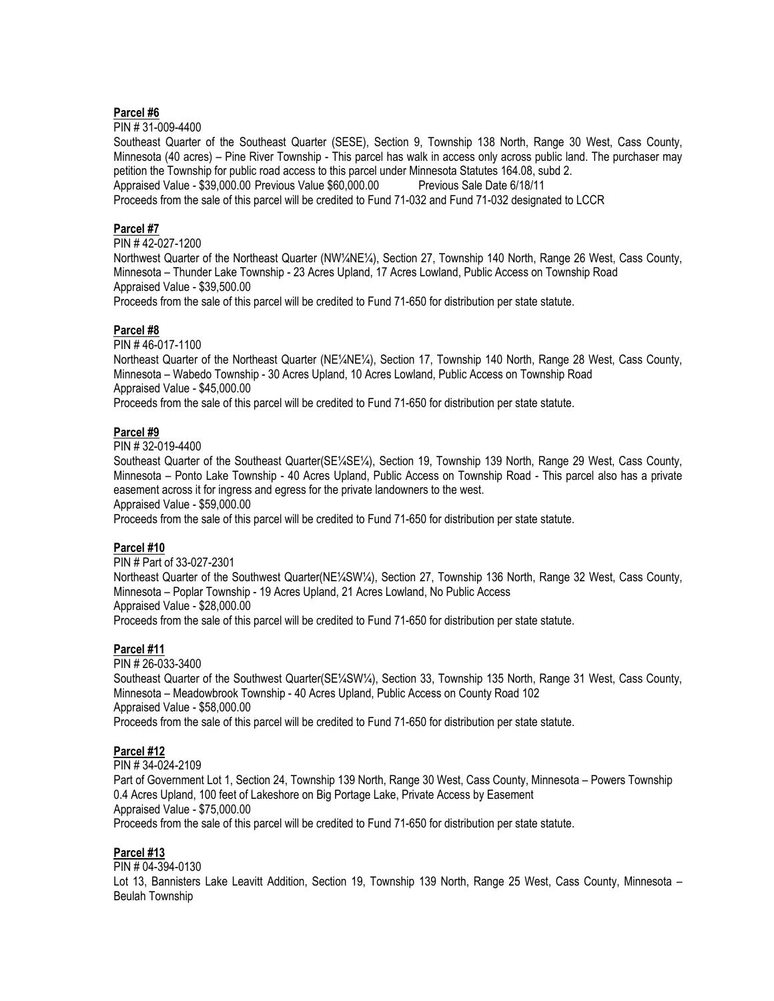#### **Parcel #6**

PIN # 31-009-4400

Southeast Quarter of the Southeast Quarter (SESE), Section 9, Township 138 North, Range 30 West, Cass County, Minnesota (40 acres) – Pine River Township - This parcel has walk in access only across public land. The purchaser may petition the Township for public road access to this parcel under Minnesota Statutes 164.08, subd 2. Appraised Value - \$39,000.00 Previous Value \$60,000.00 Previous Sale Date 6/18/11 Proceeds from the sale of this parcel will be credited to Fund 71-032 and Fund 71-032 designated to LCCR

# **Parcel #7**

PIN # 42-027-1200

Northwest Quarter of the Northeast Quarter (NW¼NE¼), Section 27, Township 140 North, Range 26 West, Cass County, Minnesota – Thunder Lake Township - 23 Acres Upland, 17 Acres Lowland, Public Access on Township Road Appraised Value - \$39,500.00

Proceeds from the sale of this parcel will be credited to Fund 71-650 for distribution per state statute.

# **Parcel #8**

PIN # 46-017-1100

Northeast Quarter of the Northeast Quarter (NE¼NE¼), Section 17, Township 140 North, Range 28 West, Cass County, Minnesota – Wabedo Township - 30 Acres Upland, 10 Acres Lowland, Public Access on Township Road Appraised Value - \$45,000.00

Proceeds from the sale of this parcel will be credited to Fund 71-650 for distribution per state statute.

# **Parcel #9**

PIN # 32-019-4400

Southeast Quarter of the Southeast Quarter(SE¼SE¼), Section 19, Township 139 North, Range 29 West, Cass County, Minnesota – Ponto Lake Township - 40 Acres Upland, Public Access on Township Road - This parcel also has a private easement across it for ingress and egress for the private landowners to the west.

Appraised Value - \$59,000.00

Proceeds from the sale of this parcel will be credited to Fund 71-650 for distribution per state statute.

# **Parcel #10**

PIN # Part of 33-027-2301

Northeast Quarter of the Southwest Quarter(NE¼SW¼), Section 27, Township 136 North, Range 32 West, Cass County, Minnesota – Poplar Township - 19 Acres Upland, 21 Acres Lowland, No Public Access Appraised Value - \$28,000.00 Proceeds from the sale of this parcel will be credited to Fund 71-650 for distribution per state statute.

# **Parcel #11**

PIN # 26-033-3400 Southeast Quarter of the Southwest Quarter(SE¼SW¼), Section 33, Township 135 North, Range 31 West, Cass County, Minnesota – Meadowbrook Township - 40 Acres Upland, Public Access on County Road 102 Appraised Value - \$58,000.00 Proceeds from the sale of this parcel will be credited to Fund 71-650 for distribution per state statute.

# **Parcel #12**

PIN # 34-024-2109 Part of Government Lot 1, Section 24, Township 139 North, Range 30 West, Cass County, Minnesota – Powers Township 0.4 Acres Upland, 100 feet of Lakeshore on Big Portage Lake, Private Access by Easement Appraised Value - \$75,000.00 Proceeds from the sale of this parcel will be credited to Fund 71-650 for distribution per state statute.

# **Parcel #13**

PIN # 04-394-0130

Lot 13, Bannisters Lake Leavitt Addition, Section 19, Township 139 North, Range 25 West, Cass County, Minnesota – Beulah Township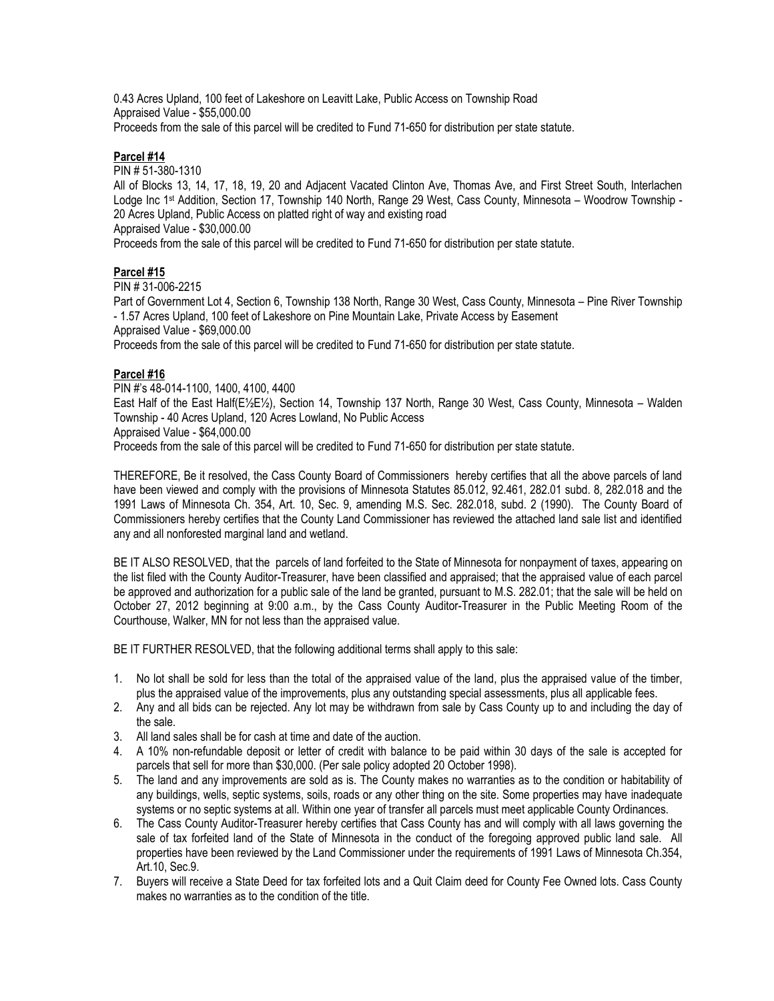0.43 Acres Upland, 100 feet of Lakeshore on Leavitt Lake, Public Access on Township Road Appraised Value - \$55,000.00 Proceeds from the sale of this parcel will be credited to Fund 71-650 for distribution per state statute.

# **Parcel #14**

PIN # 51-380-1310

All of Blocks 13, 14, 17, 18, 19, 20 and Adjacent Vacated Clinton Ave, Thomas Ave, and First Street South, Interlachen Lodge Inc 1st Addition, Section 17, Township 140 North, Range 29 West, Cass County, Minnesota – Woodrow Township - 20 Acres Upland, Public Access on platted right of way and existing road Appraised Value - \$30,000.00

Proceeds from the sale of this parcel will be credited to Fund 71-650 for distribution per state statute.

# **Parcel #15**

PIN # 31-006-2215

Part of Government Lot 4, Section 6, Township 138 North, Range 30 West, Cass County, Minnesota – Pine River Township - 1.57 Acres Upland, 100 feet of Lakeshore on Pine Mountain Lake, Private Access by Easement Appraised Value - \$69,000.00

Proceeds from the sale of this parcel will be credited to Fund 71-650 for distribution per state statute.

# **Parcel #16**

PIN #'s 48-014-1100, 1400, 4100, 4400 East Half of the East Half(E½E½), Section 14, Township 137 North, Range 30 West, Cass County, Minnesota – Walden Township - 40 Acres Upland, 120 Acres Lowland, No Public Access Appraised Value - \$64,000.00

Proceeds from the sale of this parcel will be credited to Fund 71-650 for distribution per state statute.

THEREFORE, Be it resolved, the Cass County Board of Commissioners hereby certifies that all the above parcels of land have been viewed and comply with the provisions of Minnesota Statutes 85.012, 92.461, 282.01 subd. 8, 282.018 and the 1991 Laws of Minnesota Ch. 354, Art. 10, Sec. 9, amending M.S. Sec. 282.018, subd. 2 (1990). The County Board of Commissioners hereby certifies that the County Land Commissioner has reviewed the attached land sale list and identified any and all nonforested marginal land and wetland.

BE IT ALSO RESOLVED, that the parcels of land forfeited to the State of Minnesota for nonpayment of taxes, appearing on the list filed with the County Auditor-Treasurer, have been classified and appraised; that the appraised value of each parcel be approved and authorization for a public sale of the land be granted, pursuant to M.S. 282.01; that the sale will be held on October 27, 2012 beginning at 9:00 a.m., by the Cass County Auditor-Treasurer in the Public Meeting Room of the Courthouse, Walker, MN for not less than the appraised value.

BE IT FURTHER RESOLVED, that the following additional terms shall apply to this sale:

- 1. No lot shall be sold for less than the total of the appraised value of the land, plus the appraised value of the timber, plus the appraised value of the improvements, plus any outstanding special assessments, plus all applicable fees.
- 2. Any and all bids can be rejected. Any lot may be withdrawn from sale by Cass County up to and including the day of the sale.
- 3. All land sales shall be for cash at time and date of the auction.
- 4. A 10% non-refundable deposit or letter of credit with balance to be paid within 30 days of the sale is accepted for parcels that sell for more than \$30,000. (Per sale policy adopted 20 October 1998).
- 5. The land and any improvements are sold as is. The County makes no warranties as to the condition or habitability of any buildings, wells, septic systems, soils, roads or any other thing on the site. Some properties may have inadequate systems or no septic systems at all. Within one year of transfer all parcels must meet applicable County Ordinances.
- 6. The Cass County Auditor-Treasurer hereby certifies that Cass County has and will comply with all laws governing the sale of tax forfeited land of the State of Minnesota in the conduct of the foregoing approved public land sale. All properties have been reviewed by the Land Commissioner under the requirements of 1991 Laws of Minnesota Ch.354, Art.10, Sec.9.
- 7. Buyers will receive a State Deed for tax forfeited lots and a Quit Claim deed for County Fee Owned lots. Cass County makes no warranties as to the condition of the title.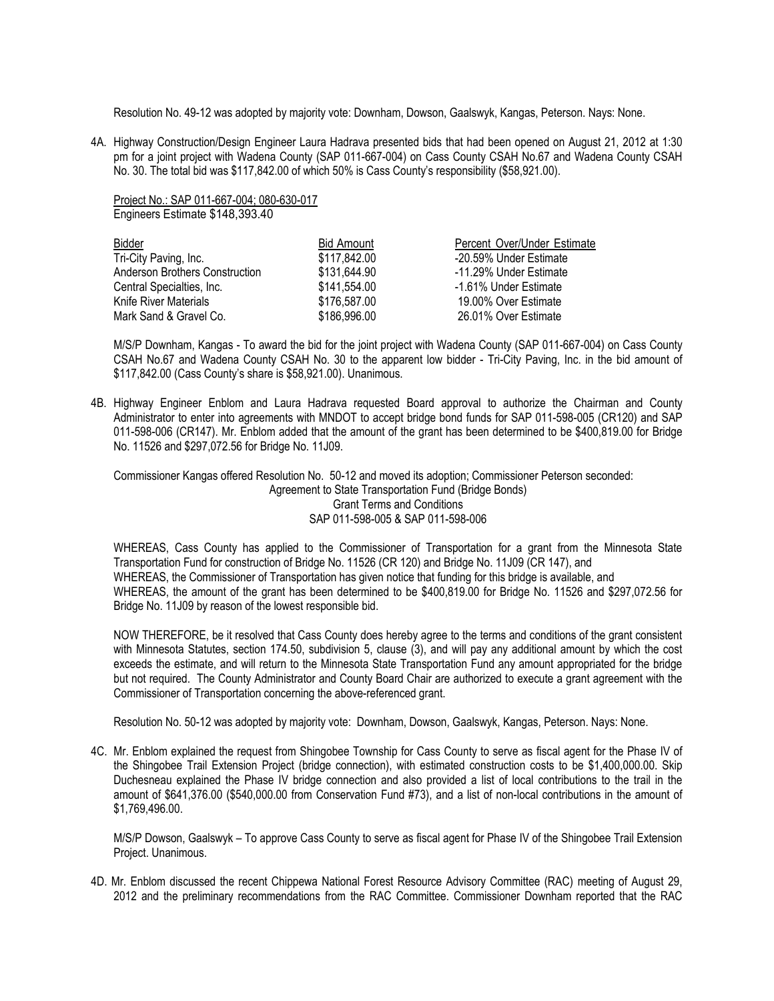Resolution No. 49-12 was adopted by majority vote: Downham, Dowson, Gaalswyk, Kangas, Peterson. Nays: None.

4A. Highway Construction/Design Engineer Laura Hadrava presented bids that had been opened on August 21, 2012 at 1:30 pm for a joint project with Wadena County (SAP 011-667-004) on Cass County CSAH No.67 and Wadena County CSAH No. 30. The total bid was \$117,842.00 of which 50% is Cass County's responsibility (\$58,921.00).

Project No.: SAP 011-667-004; 080-630-017 Engineers Estimate \$148,393.40

| <b>Bidder</b>                  | <b>Bid Amount</b> | Percent Over/Under Estimate |
|--------------------------------|-------------------|-----------------------------|
| Tri-City Paving, Inc.          | \$117,842.00      | -20.59% Under Estimate      |
| Anderson Brothers Construction | \$131,644.90      | -11.29% Under Estimate      |
| Central Specialties, Inc.      | \$141,554.00      | -1.61% Under Estimate       |
| Knife River Materials          | \$176,587.00      | 19.00% Over Estimate        |
| Mark Sand & Gravel Co.         | \$186,996.00      | 26.01% Over Estimate        |
|                                |                   |                             |

M/S/P Downham, Kangas - To award the bid for the joint project with Wadena County (SAP 011-667-004) on Cass County CSAH No.67 and Wadena County CSAH No. 30 to the apparent low bidder - Tri-City Paving, Inc. in the bid amount of \$117,842.00 (Cass County's share is \$58,921.00). Unanimous.

4B. Highway Engineer Enblom and Laura Hadrava requested Board approval to authorize the Chairman and County Administrator to enter into agreements with MNDOT to accept bridge bond funds for SAP 011-598-005 (CR120) and SAP 011-598-006 (CR147). Mr. Enblom added that the amount of the grant has been determined to be \$400,819.00 for Bridge No. 11526 and \$297,072.56 for Bridge No. 11J09.

Commissioner Kangas offered Resolution No. 50-12 and moved its adoption; Commissioner Peterson seconded: Agreement to State Transportation Fund (Bridge Bonds) Grant Terms and Conditions SAP 011-598-005 & SAP 011-598-006

WHEREAS, Cass County has applied to the Commissioner of Transportation for a grant from the Minnesota State Transportation Fund for construction of Bridge No. 11526 (CR 120) and Bridge No. 11J09 (CR 147), and WHEREAS, the Commissioner of Transportation has given notice that funding for this bridge is available, and WHEREAS, the amount of the grant has been determined to be \$400,819.00 for Bridge No. 11526 and \$297,072.56 for Bridge No. 11J09 by reason of the lowest responsible bid.

NOW THEREFORE, be it resolved that Cass County does hereby agree to the terms and conditions of the grant consistent with Minnesota Statutes, section 174.50, subdivision 5, clause (3), and will pay any additional amount by which the cost exceeds the estimate, and will return to the Minnesota State Transportation Fund any amount appropriated for the bridge but not required. The County Administrator and County Board Chair are authorized to execute a grant agreement with the Commissioner of Transportation concerning the above-referenced grant.

Resolution No. 50-12 was adopted by majority vote: Downham, Dowson, Gaalswyk, Kangas, Peterson. Nays: None.

4C. Mr. Enblom explained the request from Shingobee Township for Cass County to serve as fiscal agent for the Phase IV of the Shingobee Trail Extension Project (bridge connection), with estimated construction costs to be \$1,400,000.00. Skip Duchesneau explained the Phase IV bridge connection and also provided a list of local contributions to the trail in the amount of \$641,376.00 (\$540,000.00 from Conservation Fund #73), and a list of non-local contributions in the amount of \$1,769,496.00.

M/S/P Dowson, Gaalswyk – To approve Cass County to serve as fiscal agent for Phase IV of the Shingobee Trail Extension Project. Unanimous.

4D. Mr. Enblom discussed the recent Chippewa National Forest Resource Advisory Committee (RAC) meeting of August 29, 2012 and the preliminary recommendations from the RAC Committee. Commissioner Downham reported that the RAC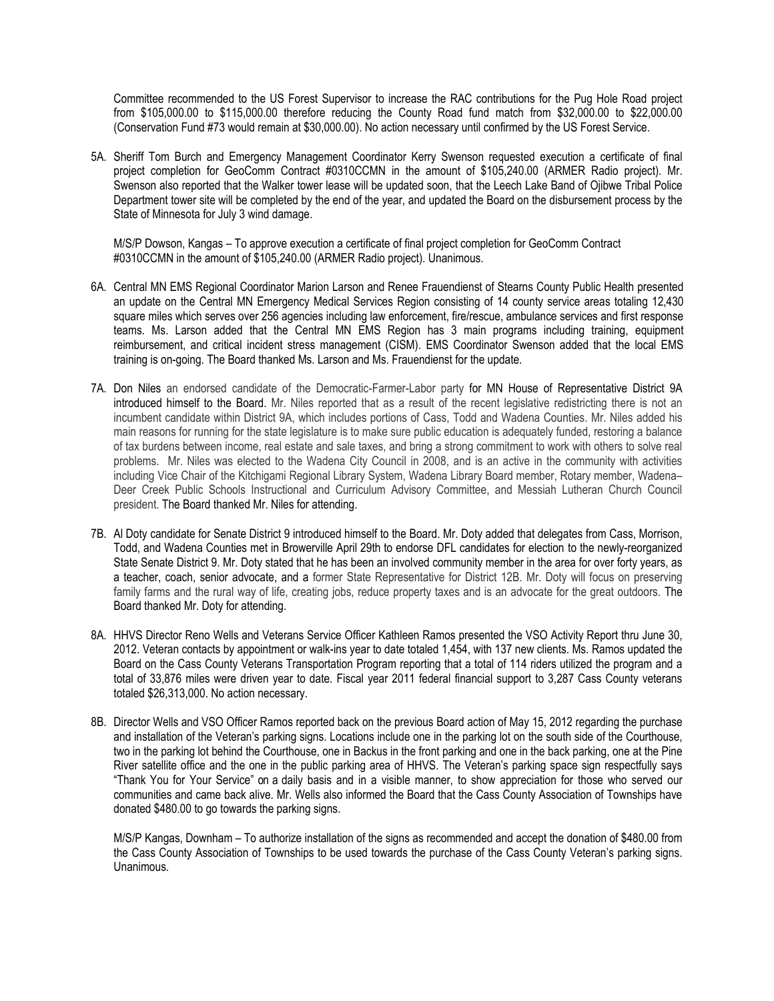Committee recommended to the US Forest Supervisor to increase the RAC contributions for the Pug Hole Road project from \$105,000.00 to \$115,000.00 therefore reducing the County Road fund match from \$32,000.00 to \$22,000.00 (Conservation Fund #73 would remain at \$30,000.00). No action necessary until confirmed by the US Forest Service.

5A. Sheriff Tom Burch and Emergency Management Coordinator Kerry Swenson requested execution a certificate of final project completion for GeoComm Contract #0310CCMN in the amount of \$105,240.00 (ARMER Radio project). Mr. Swenson also reported that the Walker tower lease will be updated soon, that the Leech Lake Band of Ojibwe Tribal Police Department tower site will be completed by the end of the year, and updated the Board on the disbursement process by the State of Minnesota for July 3 wind damage.

M/S/P Dowson, Kangas – To approve execution a certificate of final project completion for GeoComm Contract #0310CCMN in the amount of \$105,240.00 (ARMER Radio project). Unanimous.

- 6A. Central MN EMS Regional Coordinator Marion Larson and Renee Frauendienst of Stearns County Public Health presented an update on the Central MN Emergency Medical Services Region consisting of 14 county service areas totaling 12,430 square miles which serves over 256 agencies including law enforcement, fire/rescue, ambulance services and first response teams. Ms. Larson added that the Central MN EMS Region has 3 main programs including training, equipment reimbursement, and critical incident stress management (CISM). EMS Coordinator Swenson added that the local EMS training is on-going. The Board thanked Ms. Larson and Ms. Frauendienst for the update.
- 7A. Don Niles an endorsed candidate of the Democratic-Farmer-Labor party for MN House of Representative District 9A introduced himself to the Board. Mr. Niles reported that as a result of the recent legislative redistricting there is not an incumbent candidate within District 9A, which includes portions of Cass, Todd and Wadena Counties. Mr. Niles added his main reasons for running for the state legislature is to make sure public education is adequately funded, restoring a balance of tax burdens between income, real estate and sale taxes, and bring a strong commitment to work with others to solve real problems. Mr. Niles was elected to the Wadena City Council in 2008, and is an active in the community with activities including Vice Chair of the Kitchigami Regional Library System, Wadena Library Board member, Rotary member, Wadena– Deer Creek Public Schools Instructional and Curriculum Advisory Committee, and Messiah Lutheran Church Council president. The Board thanked Mr. Niles for attending.
- 7B. Al Doty candidate for Senate District 9 introduced himself to the Board. Mr. Doty added that delegates from Cass, Morrison, Todd, and Wadena Counties met in Browerville April 29th to endorse DFL candidates for election to the newly-reorganized State Senate District 9. Mr. Doty stated that he has been an involved community member in the area for over forty years, as a teacher, coach, senior advocate, and a former State Representative for District 12B. Mr. Doty will focus on preserving family farms and the rural way of life, creating jobs, reduce property taxes and is an advocate for the great outdoors. The Board thanked Mr. Doty for attending.
- 8A. HHVS Director Reno Wells and Veterans Service Officer Kathleen Ramos presented the VSO Activity Report thru June 30, 2012. Veteran contacts by appointment or walk-ins year to date totaled 1,454, with 137 new clients. Ms. Ramos updated the Board on the Cass County Veterans Transportation Program reporting that a total of 114 riders utilized the program and a total of 33,876 miles were driven year to date. Fiscal year 2011 federal financial support to 3,287 Cass County veterans totaled \$26,313,000. No action necessary.
- 8B. Director Wells and VSO Officer Ramos reported back on the previous Board action of May 15, 2012 regarding the purchase and installation of the Veteran's parking signs. Locations include one in the parking lot on the south side of the Courthouse, two in the parking lot behind the Courthouse, one in Backus in the front parking and one in the back parking, one at the Pine River satellite office and the one in the public parking area of HHVS. The Veteran's parking space sign respectfully says "Thank You for Your Service" on a daily basis and in a visible manner, to show appreciation for those who served our communities and came back alive. Mr. Wells also informed the Board that the Cass County Association of Townships have donated \$480.00 to go towards the parking signs.

M/S/P Kangas, Downham – To authorize installation of the signs as recommended and accept the donation of \$480.00 from the Cass County Association of Townships to be used towards the purchase of the Cass County Veteran's parking signs. Unanimous.